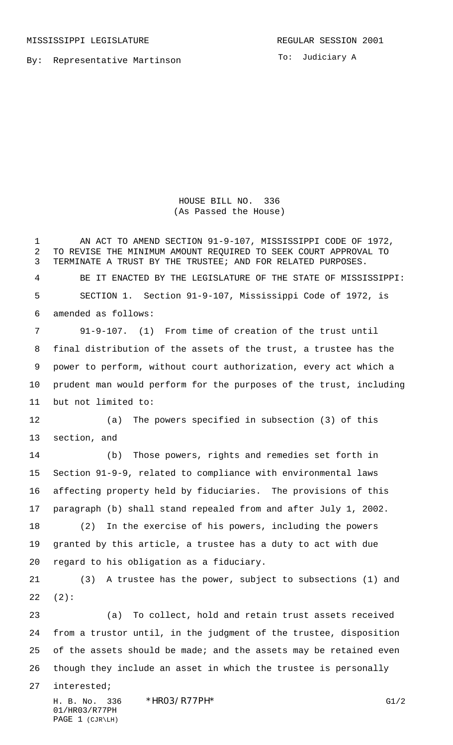PAGE 1 (CJR\LH)

By: Representative Martinson

To: Judiciary A

HOUSE BILL NO. 336 (As Passed the House)

H. B. No. 336 \*HR03/R77PH\* G1/2 01/HR03/R77PH 1 AN ACT TO AMEND SECTION 91-9-107, MISSISSIPPI CODE OF 1972, TO REVISE THE MINIMUM AMOUNT REQUIRED TO SEEK COURT APPROVAL TO TERMINATE A TRUST BY THE TRUSTEE; AND FOR RELATED PURPOSES. BE IT ENACTED BY THE LEGISLATURE OF THE STATE OF MISSISSIPPI: SECTION 1. Section 91-9-107, Mississippi Code of 1972, is amended as follows: 91-9-107. (1) From time of creation of the trust until final distribution of the assets of the trust, a trustee has the power to perform, without court authorization, every act which a prudent man would perform for the purposes of the trust, including but not limited to: (a) The powers specified in subsection (3) of this section, and (b) Those powers, rights and remedies set forth in Section 91-9-9, related to compliance with environmental laws affecting property held by fiduciaries. The provisions of this paragraph (b) shall stand repealed from and after July 1, 2002. (2) In the exercise of his powers, including the powers granted by this article, a trustee has a duty to act with due regard to his obligation as a fiduciary. (3) A trustee has the power, subject to subsections (1) and (2): (a) To collect, hold and retain trust assets received from a trustor until, in the judgment of the trustee, disposition 25 of the assets should be made; and the assets may be retained even though they include an asset in which the trustee is personally interested;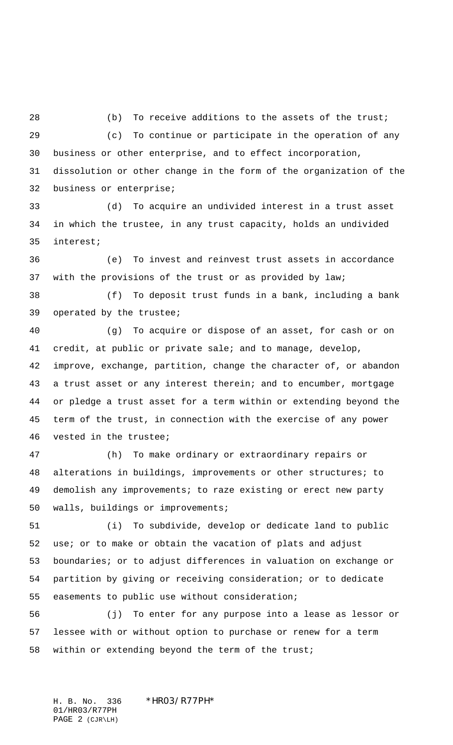28 (b) To receive additions to the assets of the trust; (c) To continue or participate in the operation of any business or other enterprise, and to effect incorporation, dissolution or other change in the form of the organization of the business or enterprise;

 (d) To acquire an undivided interest in a trust asset in which the trustee, in any trust capacity, holds an undivided interest;

 (e) To invest and reinvest trust assets in accordance with the provisions of the trust or as provided by law;

 (f) To deposit trust funds in a bank, including a bank operated by the trustee;

 (g) To acquire or dispose of an asset, for cash or on credit, at public or private sale; and to manage, develop, improve, exchange, partition, change the character of, or abandon a trust asset or any interest therein; and to encumber, mortgage or pledge a trust asset for a term within or extending beyond the term of the trust, in connection with the exercise of any power vested in the trustee;

 (h) To make ordinary or extraordinary repairs or alterations in buildings, improvements or other structures; to demolish any improvements; to raze existing or erect new party walls, buildings or improvements;

 (i) To subdivide, develop or dedicate land to public use; or to make or obtain the vacation of plats and adjust boundaries; or to adjust differences in valuation on exchange or partition by giving or receiving consideration; or to dedicate easements to public use without consideration;

 (j) To enter for any purpose into a lease as lessor or lessee with or without option to purchase or renew for a term within or extending beyond the term of the trust;

H. B. No. 336 \*HR03/R77PH\* 01/HR03/R77PH PAGE 2 (CJR\LH)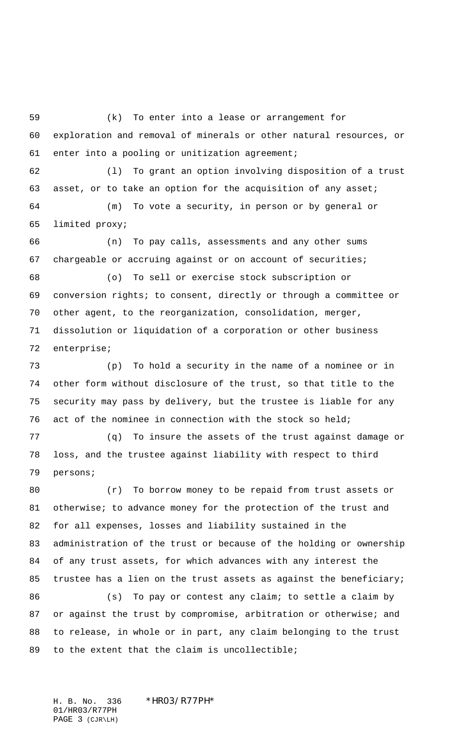(k) To enter into a lease or arrangement for exploration and removal of minerals or other natural resources, or enter into a pooling or unitization agreement;

 (l) To grant an option involving disposition of a trust 63 asset, or to take an option for the acquisition of any asset; (m) To vote a security, in person or by general or

limited proxy;

 (n) To pay calls, assessments and any other sums chargeable or accruing against or on account of securities;

 (o) To sell or exercise stock subscription or conversion rights; to consent, directly or through a committee or other agent, to the reorganization, consolidation, merger, dissolution or liquidation of a corporation or other business enterprise;

 (p) To hold a security in the name of a nominee or in other form without disclosure of the trust, so that title to the security may pass by delivery, but the trustee is liable for any act of the nominee in connection with the stock so held;

 (q) To insure the assets of the trust against damage or loss, and the trustee against liability with respect to third persons;

 (r) To borrow money to be repaid from trust assets or 81 otherwise; to advance money for the protection of the trust and for all expenses, losses and liability sustained in the administration of the trust or because of the holding or ownership of any trust assets, for which advances with any interest the trustee has a lien on the trust assets as against the beneficiary; 86 (s) To pay or contest any claim; to settle a claim by

87 or against the trust by compromise, arbitration or otherwise; and to release, in whole or in part, any claim belonging to the trust to the extent that the claim is uncollectible;

H. B. No. 336 \*HR03/R77PH\* 01/HR03/R77PH PAGE 3 (CJR\LH)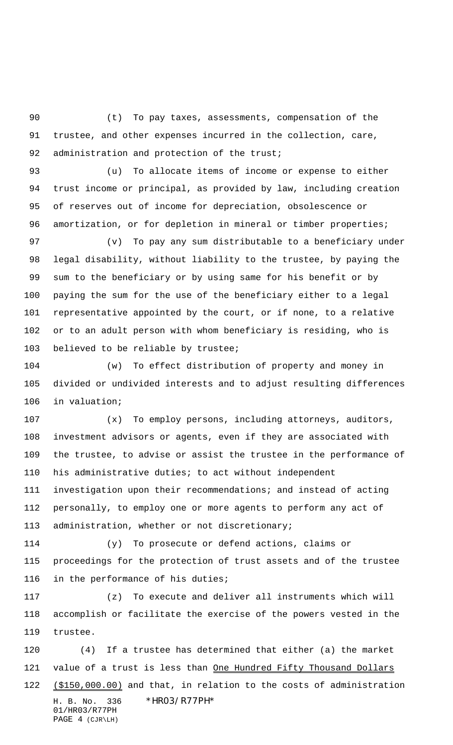(t) To pay taxes, assessments, compensation of the trustee, and other expenses incurred in the collection, care, 92 administration and protection of the trust;

 (u) To allocate items of income or expense to either trust income or principal, as provided by law, including creation of reserves out of income for depreciation, obsolescence or 96 amortization, or for depletion in mineral or timber properties;

 (v) To pay any sum distributable to a beneficiary under legal disability, without liability to the trustee, by paying the sum to the beneficiary or by using same for his benefit or by paying the sum for the use of the beneficiary either to a legal representative appointed by the court, or if none, to a relative or to an adult person with whom beneficiary is residing, who is believed to be reliable by trustee;

 (w) To effect distribution of property and money in divided or undivided interests and to adjust resulting differences in valuation;

 (x) To employ persons, including attorneys, auditors, investment advisors or agents, even if they are associated with the trustee, to advise or assist the trustee in the performance of his administrative duties; to act without independent investigation upon their recommendations; and instead of acting personally, to employ one or more agents to perform any act of administration, whether or not discretionary;

 (y) To prosecute or defend actions, claims or proceedings for the protection of trust assets and of the trustee in the performance of his duties;

 (z) To execute and deliver all instruments which will accomplish or facilitate the exercise of the powers vested in the trustee.

H. B. No. 336 \*HR03/R77PH\* 01/HR03/R77PH (4) If a trustee has determined that either (a) the market 121 value of a trust is less than One Hundred Fifty Thousand Dollars 122 (\$150,000.00) and that, in relation to the costs of administration

PAGE 4 (CJR\LH)